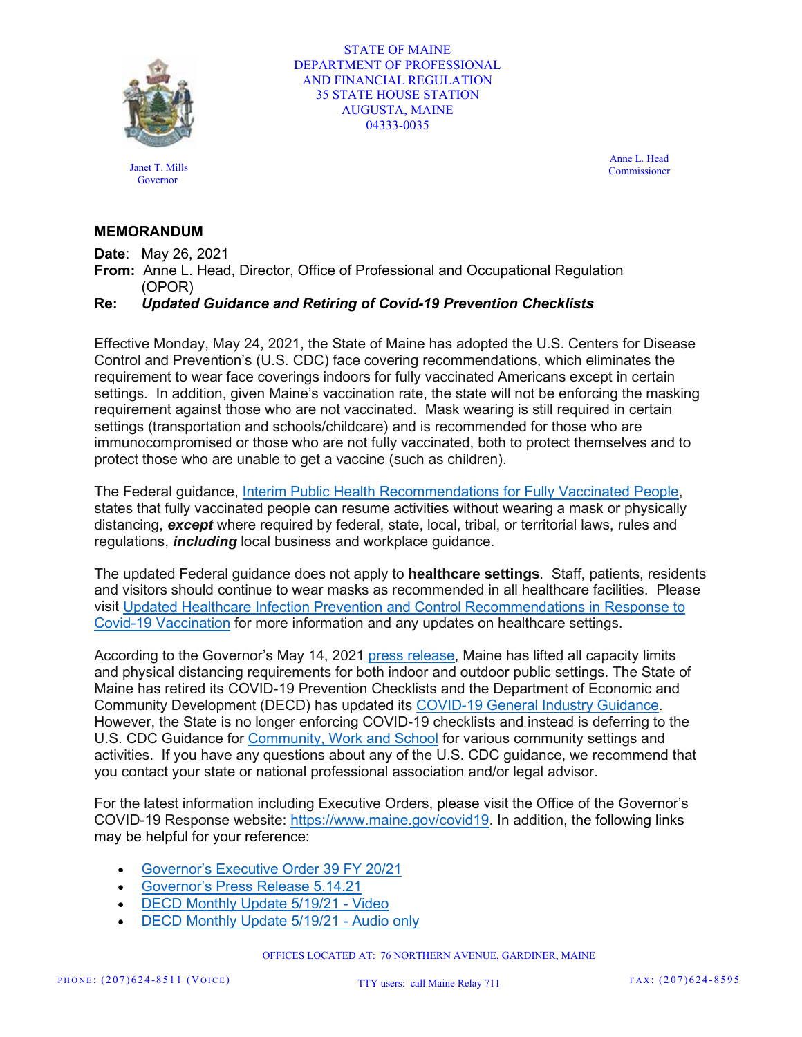

STATE OF MAINE DEPARTMENT OF PROFESSIONAL AND FINANCIAL REGULATION 35 STATE HOUSE STATION AUGUSTA, MAINE 04333-0035

Janet T. Mills **Governor** 

Anne L. Head Commissioner

## **MEMORANDUM**

**Date**: May 26, 2021

**From:** Anne L. Head, Director, Office of Professional and Occupational Regulation (OPOR)

**Re:** *Updated Guidance and Retiring of Covid-19 Prevention Checklists*

Effective Monday, May 24, 2021, the State of Maine has adopted the U.S. Centers for Disease Control and Prevention's (U.S. CDC) face covering recommendations, which eliminates the requirement to wear face coverings indoors for fully vaccinated Americans except in certain settings. In addition, given Maine's vaccination rate, the state will not be enforcing the masking requirement against those who are not vaccinated. Mask wearing is still required in certain settings (transportation and schools/childcare) and is recommended for those who are immunocompromised or those who are not fully vaccinated, both to protect themselves and to protect those who are unable to get a vaccine (such as children).

The Federal guidance, [Interim Public Health Recommendations for Fully Vaccinated People,](https://www.cdc.gov/coronavirus/2019-ncov/vaccines/fully-vaccinated-guidance.html) states that fully vaccinated people can resume activities without wearing a mask or physically distancing, *except* where required by federal, state, local, tribal, or territorial laws, rules and regulations, *including* local business and workplace guidance.

The updated Federal guidance does not apply to **healthcare settings**. Staff, patients, residents and visitors should continue to wear masks as recommended in all healthcare facilities. Please visit [Updated Healthcare Infection Prevention and Control Recommendations in Response to](https://www.cdc.gov/coronavirus/2019-ncov/hcp/infection-control-after-vaccination.html)  [Covid-19 Vaccination](https://www.cdc.gov/coronavirus/2019-ncov/hcp/infection-control-after-vaccination.html) for more information and any updates on healthcare settings.

According to the Governor's May 14, 2021 [press release,](https://www.maine.gov/governor/mills/news/maine-adopt-us-cdcs-new-covid-19-guidance-2021-05-14) Maine has lifted all capacity limits and physical distancing requirements for both indoor and outdoor public settings. The State of Maine has retired its COVID-19 Prevention Checklists and the Department of Economic and Community Development (DECD) has updated its [COVID-19 General Industry Guidance.](https://www.maine.gov/decd/general-guidance) However, the State is no longer enforcing COVID-19 checklists and instead is deferring to the U.S. CDC Guidance for [Community, Work and School](https://www.cdc.gov/coronavirus/2019-ncov/community/index.html) for various community settings and activities. If you have any questions about any of the U.S. CDC guidance, we recommend that you contact your state or national professional association and/or legal advisor.

For the latest information including Executive Orders, please visit the Office of the Governor's COVID-19 Response website: [https://www.maine.gov/covid19.](https://www.maine.gov/covid19) In addition, the following links may be helpful for your reference:

- [Governor's Executive Order 39 FY 20/21](https://www.maine.gov/governor/mills/sites/maine.gov.governor.mills/files/inline-files/EO%2097%2039.pdf)
- [Governor's Press Release 5.14.21](https://www.maine.gov/governor/mills/news/maine-adopt-us-cdcs-new-covid-19-guidance-2021-05-14)
- [DECD Monthly Update 5/19/21 -](https://zoom.us/rec/play/_nrS-Zlu2n4fNc7243MPXW2NrQoZ8nQpj03ScMb1z-cGY_PVKJZ3R-SwN0-44ILT_J7nkw7a56tS7Xvn.52VaPobYESS_qTmW) Video
- [DECD Monthly Update 5/19/21 -](https://zoom.us/rec/play/lN5a2deBmKZaL7W1grXilJM4Du17w5_mnDPBhjk-O7zOcHog6TPJpxgtK6z1o8IJAyiZXNj-fxZfjr9e._zqKH25LkqcCpBKd) Audio only

OFFICES LOCATED AT: 76 NORTHERN AVENUE, GARDINER, MAINE